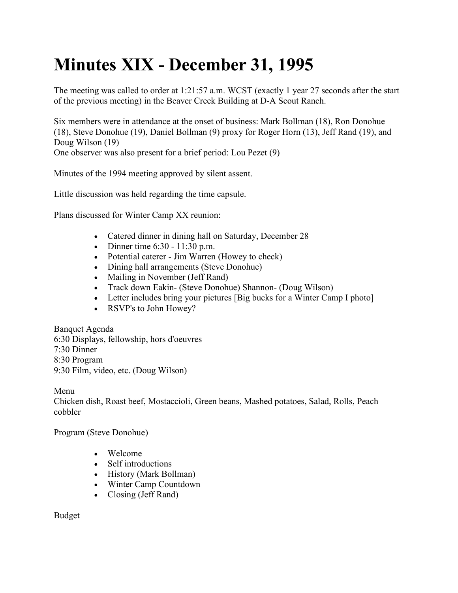## **Minutes XIX - December 31, 1995**

The meeting was called to order at 1:21:57 a.m. WCST (exactly 1 year 27 seconds after the start of the previous meeting) in the Beaver Creek Building at D-A Scout Ranch.

Six members were in attendance at the onset of business: Mark Bollman (18), Ron Donohue (18), Steve Donohue (19), Daniel Bollman (9) proxy for Roger Horn (13), Jeff Rand (19), and Doug Wilson (19) One observer was also present for a brief period: Lou Pezet (9)

Minutes of the 1994 meeting approved by silent assent.

Little discussion was held regarding the time capsule.

Plans discussed for Winter Camp XX reunion:

- Catered dinner in dining hall on Saturday, December 28
- Dinner time 6:30 11:30 p.m.
- Potential caterer Jim Warren (Howey to check)
- Dining hall arrangements (Steve Donohue)
- Mailing in November (Jeff Rand)
- Track down Eakin- (Steve Donohue) Shannon- (Doug Wilson)
- Letter includes bring your pictures [Big bucks for a Winter Camp I photo]
- RSVP's to John Howey?

Banquet Agenda 6:30 Displays, fellowship, hors d'oeuvres 7:30 Dinner 8:30 Program 9:30 Film, video, etc. (Doug Wilson)

Menu

Chicken dish, Roast beef, Mostaccioli, Green beans, Mashed potatoes, Salad, Rolls, Peach cobbler

Program (Steve Donohue)

- Welcome
- Self introductions
- History (Mark Bollman)
- Winter Camp Countdown
- Closing (Jeff Rand)

Budget